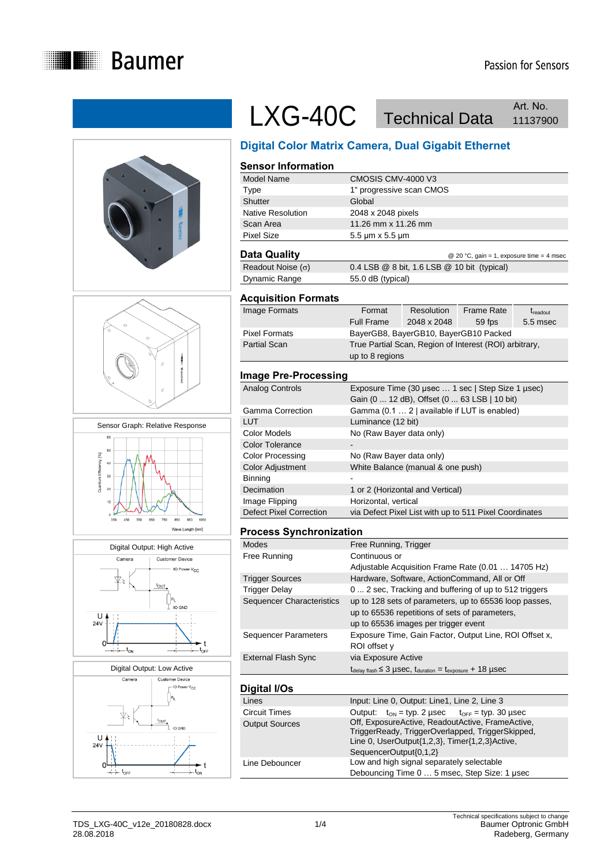











## LXG-40C Technical Data Art. No. Art. No.

## **Digital Color Matrix Camera, Dual Gigabit Ethernet**

#### **Sensor Information** Model Name CMOSIS CMV-4000 V3 Type 1" progressive scan CMOS Shutter Global Native Resolution 2048 x 2048 pixels Scan Area 11.26 mm x 11.26 mm Pixel Size 5.5 μm x 5.5 μm **Data Quality Data Guality C** 20 °C, gain = 1, exposure time = 4 msec

| Readout Noise $(\sigma)$ | 0.4 LSB $@$ 8 bit, 1.6 LSB $@$ 10 bit (typical) |
|--------------------------|-------------------------------------------------|
| Dynamic Range            | 55.0 dB (typical)                               |

#### **Acquisition Formats**

| Image Formats        | Format            | Resolution  | <b>Frame Rate</b>                                      | $t_{\rm readout}$ |
|----------------------|-------------------|-------------|--------------------------------------------------------|-------------------|
|                      | <b>Full Frame</b> | 2048 x 2048 | 59 fps                                                 | 5.5 msec          |
| <b>Pixel Formats</b> |                   |             | BayerGB8, BayerGB10, BayerGB10 Packed                  |                   |
| <b>Partial Scan</b>  |                   |             | True Partial Scan, Region of Interest (ROI) arbitrary, |                   |
|                      | up to 8 regions   |             |                                                        |                   |

#### **Image Pre-Processing**

| Analog Controls                | Exposure Time (30 usec  1 sec   Step Size 1 usec)      |
|--------------------------------|--------------------------------------------------------|
|                                | Gain (0  12 dB), Offset (0  63 LSB   10 bit)           |
| Gamma Correction               | Gamma (0.1  2   available if LUT is enabled)           |
| LUT                            | Luminance (12 bit)                                     |
| Color Models                   | No (Raw Bayer data only)                               |
| <b>Color Tolerance</b>         |                                                        |
| Color Processing               | No (Raw Bayer data only)                               |
| Color Adjustment               | White Balance (manual & one push)                      |
| Binning                        |                                                        |
| Decimation                     | 1 or 2 (Horizontal and Vertical)                       |
| Image Flipping                 | Horizontal, vertical                                   |
| <b>Defect Pixel Correction</b> | via Defect Pixel List with up to 511 Pixel Coordinates |

#### **Process Synchronization**

| <b>Modes</b>                | Free Running, Trigger                                                                       |
|-----------------------------|---------------------------------------------------------------------------------------------|
| Free Running                | Continuous or                                                                               |
|                             | Adjustable Acquisition Frame Rate (0.01  14705 Hz)                                          |
| <b>Trigger Sources</b>      | Hardware, Software, ActionCommand, All or Off                                               |
| <b>Trigger Delay</b>        | 0  2 sec. Tracking and buffering of up to 512 triggers                                      |
| Sequencer Characteristics   | up to 128 sets of parameters, up to 65536 loop passes,                                      |
|                             | up to 65536 repetitions of sets of parameters,                                              |
|                             | up to 65536 images per trigger event                                                        |
| <b>Sequencer Parameters</b> | Exposure Time, Gain Factor, Output Line, ROI Offset x,                                      |
|                             | ROI offset y                                                                                |
| External Flash Sync         | via Exposure Active                                                                         |
|                             | $t_{\text{delay flash}} \leq 3$ µSeC, $t_{\text{duration}} = t_{\text{exposure}} + 18$ µSeC |
|                             |                                                                                             |
| Digital I/Os                |                                                                                             |

| Lines                 | Input: Line 0, Output: Line1, Line 2, Line 3                                                                                                                                     |
|-----------------------|----------------------------------------------------------------------------------------------------------------------------------------------------------------------------------|
| Circuit Times         | Output: $t_{ON} = typ. 2$ usec $t_{OFF} = typ. 30$ usec                                                                                                                          |
| <b>Output Sources</b> | Off, ExposureActive, ReadoutActive, FrameActive,<br>TriggerReady, TriggerOverlapped, TriggerSkipped,<br>Line 0, UserOutput{1,2,3}, Timer{1,2,3}Active,<br>SequencerOutput{0,1,2} |
| Line Debouncer        | Low and high signal separately selectable<br>Debouncing Time 0  5 msec, Step Size: 1 usec                                                                                        |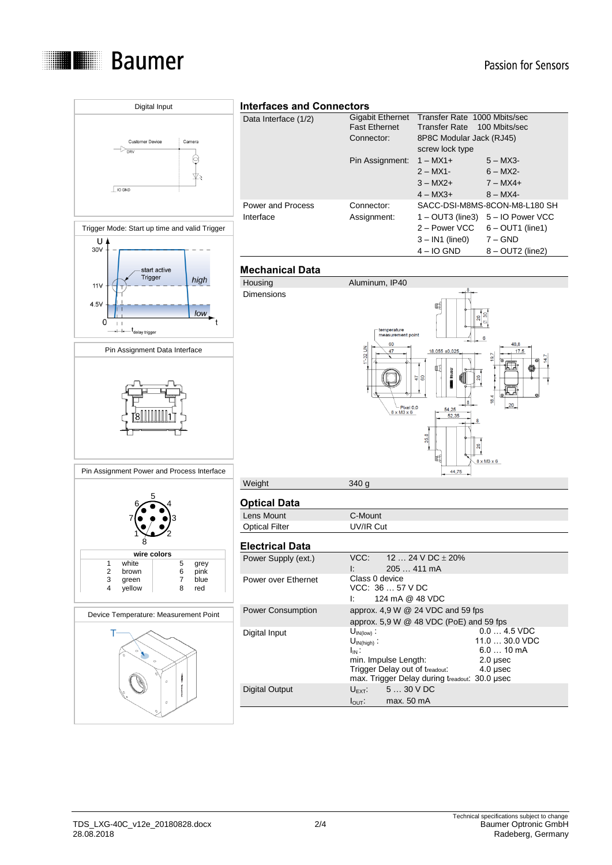

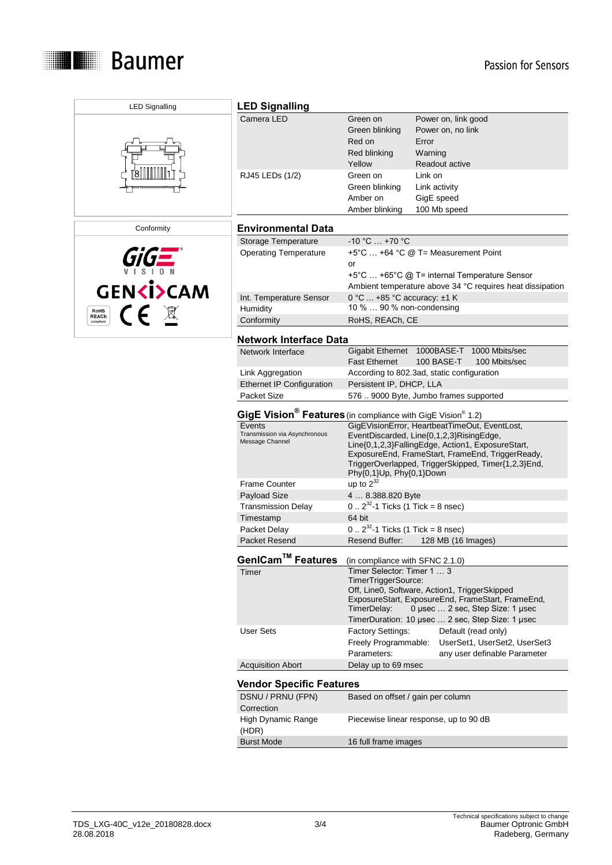

| <b>LED Signalling</b>                     | <b>LED Signalling</b>                                                               |                                                          |                                                                                           |
|-------------------------------------------|-------------------------------------------------------------------------------------|----------------------------------------------------------|-------------------------------------------------------------------------------------------|
|                                           | Camera LED                                                                          | Green on                                                 | Power on, link good                                                                       |
|                                           |                                                                                     | Green blinking                                           | Power on, no link                                                                         |
|                                           |                                                                                     | Red on                                                   | Error                                                                                     |
|                                           |                                                                                     | Red blinking                                             | Warning                                                                                   |
|                                           |                                                                                     | Yellow                                                   | Readout active                                                                            |
|                                           | RJ45 LEDs (1/2)                                                                     | Green on                                                 | Link on                                                                                   |
|                                           |                                                                                     |                                                          |                                                                                           |
|                                           |                                                                                     | Green blinking                                           | Link activity                                                                             |
|                                           |                                                                                     | Amber on                                                 | GigE speed                                                                                |
|                                           |                                                                                     | Amber blinking                                           | 100 Mb speed                                                                              |
| Conformity                                | <b>Environmental Data</b>                                                           |                                                          |                                                                                           |
|                                           | Storage Temperature                                                                 | $-10 °C  +70 °C$                                         |                                                                                           |
|                                           | <b>Operating Temperature</b>                                                        |                                                          | +5°C  +64 °C @ T= Measurement Point                                                       |
|                                           |                                                                                     | or                                                       |                                                                                           |
|                                           |                                                                                     |                                                          | +5°C  +65°C @ T= internal Temperature Sensor                                              |
|                                           |                                                                                     |                                                          | Ambient temperature above 34 °C requires heat dissipation                                 |
| <b>GENKI&gt;CAM</b>                       |                                                                                     |                                                          |                                                                                           |
|                                           | Int. Temperature Sensor<br>Humidity                                                 | 0 °C  +85 °C accuracy: ±1 K<br>10 %  90 % non-condensing |                                                                                           |
| $\epsilon$<br><b>RoHS</b><br><b>REACh</b> |                                                                                     |                                                          |                                                                                           |
| compliant                                 | Conformity                                                                          | RoHS, REACh, CE                                          |                                                                                           |
|                                           | <b>Network Interface Data</b>                                                       |                                                          |                                                                                           |
|                                           | Network Interface                                                                   |                                                          | Gigabit Ethernet 1000BASE-T 1000 Mbits/sec                                                |
|                                           |                                                                                     | <b>Fast Ethernet</b>                                     | 100 BASE-T<br>100 Mbits/sec                                                               |
|                                           | Link Aggregation                                                                    |                                                          | According to 802.3ad, static configuration                                                |
|                                           | <b>Ethernet IP Configuration</b>                                                    | Persistent IP, DHCP, LLA                                 |                                                                                           |
|                                           | Packet Size                                                                         |                                                          | 576  9000 Byte, Jumbo frames supported                                                    |
|                                           |                                                                                     |                                                          |                                                                                           |
|                                           | GigE Vision <sup>®</sup> Features (in compliance with GigE Vision <sup>®</sup> 1.2) |                                                          |                                                                                           |
|                                           | Events<br>Transmission via Asynchronous                                             |                                                          | GigEVisionError, HeartbeatTimeOut, EventLost,<br>EventDiscarded, Line{0,1,2,3}RisingEdge, |
|                                           | Message Channel                                                                     |                                                          | Line{0,1,2,3}FallingEdge, Action1, ExposureStart,                                         |
|                                           |                                                                                     |                                                          | ExposureEnd, FrameStart, FrameEnd, TriggerReady,                                          |
|                                           |                                                                                     |                                                          | TriggerOverlapped, TriggerSkipped, Timer{1,2,3}End,                                       |
|                                           |                                                                                     | Phy{0,1}Up, Phy{0,1}Down                                 |                                                                                           |
|                                           | <b>Frame Counter</b>                                                                | up to $2^{32}$                                           |                                                                                           |
|                                           | Payload Size                                                                        | 4  8.388.820 Byte                                        |                                                                                           |
|                                           | <b>Transmission Delay</b>                                                           | $0.2^{32}$ -1 Ticks (1 Tick = 8 nsec)                    |                                                                                           |
|                                           | Timestamp                                                                           | 64 bit                                                   |                                                                                           |
|                                           | Packet Delay                                                                        | $0.2^{32}$ -1 Ticks (1 Tick = 8 nsec)                    |                                                                                           |
|                                           | Packet Resend                                                                       | Resend Buffer:                                           | 128 MB (16 Images)                                                                        |
|                                           |                                                                                     |                                                          |                                                                                           |
|                                           | GenICam™ Features                                                                   | (in compliance with SFNC 2.1.0)                          |                                                                                           |
|                                           | Timer                                                                               | Timer Selector: Timer 1  3                               |                                                                                           |
|                                           |                                                                                     | TimerTriggerSource:                                      | Off, Line0, Software, Action1, TriggerSkipped                                             |
|                                           |                                                                                     |                                                          | ExposureStart, ExposureEnd, FrameStart, FrameEnd,                                         |
|                                           |                                                                                     | TimerDelay:                                              | 0 µsec  2 sec, Step Size: 1 µsec                                                          |
|                                           |                                                                                     |                                                          | TimerDuration: 10 µsec  2 sec, Step Size: 1 µsec                                          |
|                                           | <b>User Sets</b>                                                                    | Factory Settings:                                        | Default (read only)                                                                       |
|                                           |                                                                                     | Freely Programmable:                                     | UserSet1, UserSet2, UserSet3                                                              |
|                                           |                                                                                     | Parameters:                                              | any user definable Parameter                                                              |
|                                           | <b>Acquisition Abort</b>                                                            | Delay up to 69 msec                                      |                                                                                           |
|                                           |                                                                                     |                                                          |                                                                                           |
|                                           | <b>Vendor Specific Features</b>                                                     |                                                          |                                                                                           |
|                                           | DSNU / PRNU (FPN)                                                                   | Based on offset / gain per column                        |                                                                                           |
|                                           | Correction                                                                          |                                                          |                                                                                           |
|                                           | High Dynamic Range                                                                  |                                                          | Piecewise linear response, up to 90 dB                                                    |
|                                           | (HDR)<br><b>Burst Mode</b>                                                          | 16 full frame images                                     |                                                                                           |
|                                           |                                                                                     |                                                          |                                                                                           |